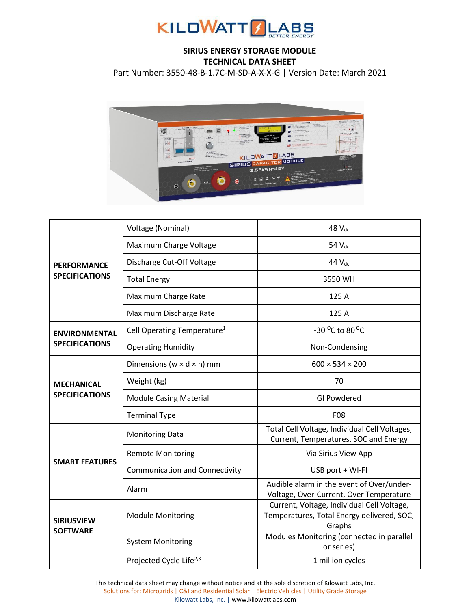

## **SIRIUS ENERGY STORAGE MODULE TECHNICAL DATA SHEET**

Part Number: 3550-48-B-1.7C-M-SD-A-X-X-G | Version Date: March 2021



| <b>PERFORMANCE</b><br><b>SPECIFICATIONS</b>   | Voltage (Nominal)                       | 48 V <sub>dc</sub>                                                                                 |
|-----------------------------------------------|-----------------------------------------|----------------------------------------------------------------------------------------------------|
|                                               | Maximum Charge Voltage                  | 54 V <sub>dc</sub>                                                                                 |
|                                               | Discharge Cut-Off Voltage               | 44 V <sub>dc</sub>                                                                                 |
|                                               | <b>Total Energy</b>                     | 3550 WH                                                                                            |
|                                               | Maximum Charge Rate                     | 125 A                                                                                              |
|                                               | Maximum Discharge Rate                  | 125 A                                                                                              |
| <b>ENVIRONMENTAL</b><br><b>SPECIFICATIONS</b> | Cell Operating Temperature <sup>1</sup> | -30 $^{\circ}$ C to 80 $^{\circ}$ C                                                                |
|                                               | <b>Operating Humidity</b>               | Non-Condensing                                                                                     |
| <b>MECHANICAL</b><br><b>SPECIFICATIONS</b>    | Dimensions ( $w \times d \times h$ ) mm | $600 \times 534 \times 200$                                                                        |
|                                               | Weight (kg)                             | 70                                                                                                 |
|                                               | <b>Module Casing Material</b>           | GI Powdered                                                                                        |
|                                               | <b>Terminal Type</b>                    | <b>F08</b>                                                                                         |
| <b>SMART FEATURES</b>                         | <b>Monitoring Data</b>                  | Total Cell Voltage, Individual Cell Voltages,<br>Current, Temperatures, SOC and Energy             |
|                                               | <b>Remote Monitoring</b>                | Via Sirius View App                                                                                |
|                                               | <b>Communication and Connectivity</b>   | USB port + WI-FI                                                                                   |
|                                               | Alarm                                   | Audible alarm in the event of Over/under-<br>Voltage, Over-Current, Over Temperature               |
| <b>SIRIUSVIEW</b><br><b>SOFTWARE</b>          | <b>Module Monitoring</b>                | Current, Voltage, Individual Cell Voltage,<br>Temperatures, Total Energy delivered, SOC,<br>Graphs |
|                                               | <b>System Monitoring</b>                | Modules Monitoring (connected in parallel<br>or series)                                            |
|                                               | Projected Cycle Life <sup>2,3</sup>     | 1 million cycles                                                                                   |

This technical data sheet may change without notice and at the sole discretion of Kilowatt Labs, Inc. Solutions for: Microgrids | C&I and Residential Solar | Electric Vehicles | Utility Grade Storage Kilowatt Labs, Inc. [| www.kilowattlabs.com](http://www.kilowattlabs.com/)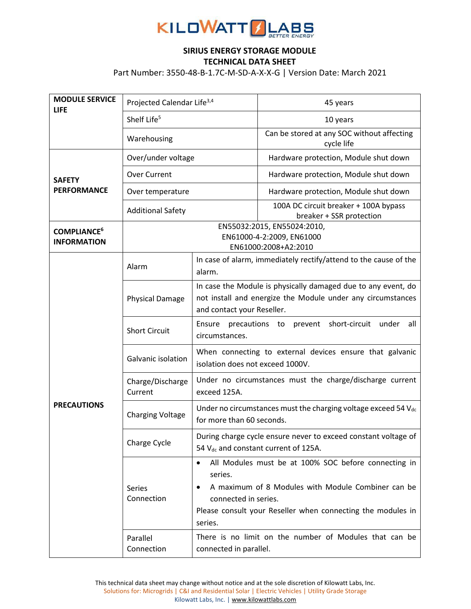

## **SIRIUS ENERGY STORAGE MODULE TECHNICAL DATA SHEET**

Part Number: 3550-48-B-1.7C-M-SD-A-X-X-G | Version Date: March 2021

| <b>MODULE SERVICE</b><br><b>LIFE</b>                | Projected Calendar Life <sup>3,4</sup>                                           |                                                                                                                                                                                                                         | 45 years                                                          |
|-----------------------------------------------------|----------------------------------------------------------------------------------|-------------------------------------------------------------------------------------------------------------------------------------------------------------------------------------------------------------------------|-------------------------------------------------------------------|
|                                                     | Shelf Life <sup>5</sup>                                                          |                                                                                                                                                                                                                         | 10 years                                                          |
|                                                     | Warehousing                                                                      |                                                                                                                                                                                                                         | Can be stored at any SOC without affecting<br>cycle life          |
| <b>SAFETY</b><br><b>PERFORMANCE</b>                 | Over/under voltage                                                               |                                                                                                                                                                                                                         | Hardware protection, Module shut down                             |
|                                                     | <b>Over Current</b>                                                              |                                                                                                                                                                                                                         | Hardware protection, Module shut down                             |
|                                                     | Over temperature                                                                 |                                                                                                                                                                                                                         | Hardware protection, Module shut down                             |
|                                                     | <b>Additional Safety</b>                                                         |                                                                                                                                                                                                                         | 100A DC circuit breaker + 100A bypass<br>breaker + SSR protection |
| <b>COMPLIANCE<sup>6</sup></b><br><b>INFORMATION</b> | EN55032:2015, EN55024:2010,<br>EN61000-4-2:2009, EN61000<br>EN61000:2008+A2:2010 |                                                                                                                                                                                                                         |                                                                   |
| <b>PRECAUTIONS</b>                                  | Alarm                                                                            | In case of alarm, immediately rectify/attend to the cause of the<br>alarm.                                                                                                                                              |                                                                   |
|                                                     | <b>Physical Damage</b>                                                           | In case the Module is physically damaged due to any event, do<br>not install and energize the Module under any circumstances<br>and contact your Reseller.                                                              |                                                                   |
|                                                     | <b>Short Circuit</b>                                                             | Ensure precautions to prevent short-circuit<br>under<br>all<br>circumstances.                                                                                                                                           |                                                                   |
|                                                     | Galvanic isolation                                                               | When connecting to external devices ensure that galvanic<br>isolation does not exceed 1000V.                                                                                                                            |                                                                   |
|                                                     | Charge/Discharge<br>Current                                                      | Under no circumstances must the charge/discharge current<br>exceed 125A.                                                                                                                                                |                                                                   |
|                                                     | <b>Charging Voltage</b>                                                          | Under no circumstances must the charging voltage exceed 54 Vdc<br>for more than 60 seconds.                                                                                                                             |                                                                   |
|                                                     | Charge Cycle                                                                     | During charge cycle ensure never to exceed constant voltage of<br>54 V <sub>dc</sub> and constant current of 125A.                                                                                                      |                                                                   |
|                                                     | Series<br>Connection                                                             | All Modules must be at 100% SOC before connecting in<br>series.<br>A maximum of 8 Modules with Module Combiner can be<br>connected in series.<br>Please consult your Reseller when connecting the modules in<br>series. |                                                                   |
|                                                     | Parallel<br>Connection                                                           | There is no limit on the number of Modules that can be<br>connected in parallel.                                                                                                                                        |                                                                   |

This technical data sheet may change without notice and at the sole discretion of Kilowatt Labs, Inc. Solutions for: Microgrids | C&I and Residential Solar | Electric Vehicles | Utility Grade Storage Kilowatt Labs, Inc. [| www.kilowattlabs.com](http://www.kilowattlabs.com/)